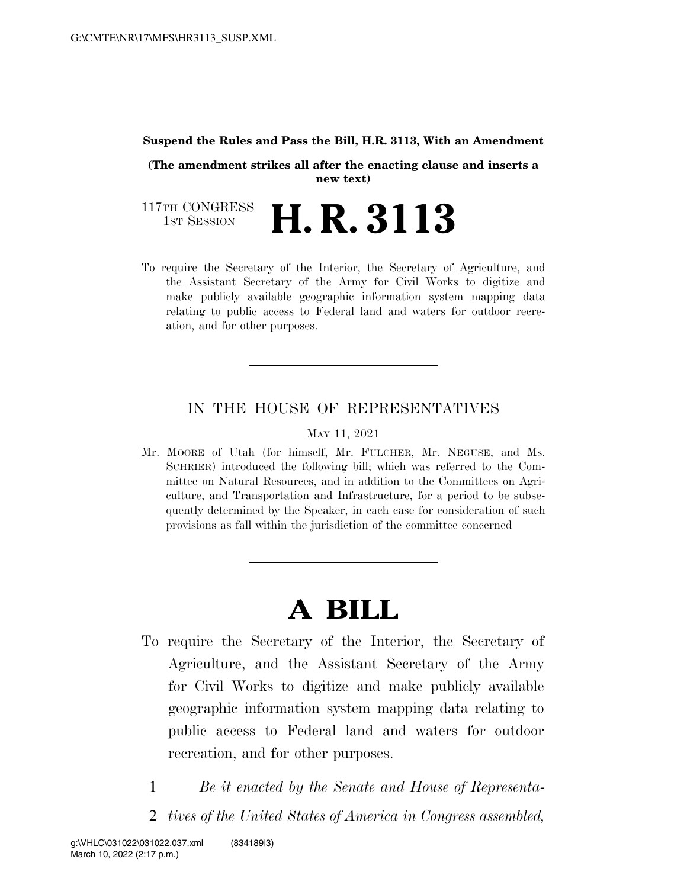#### **Suspend the Rules and Pass the Bill, H.R. 3113, With an Amendment**

**(The amendment strikes all after the enacting clause and inserts a new text)** 

117TH CONGRESS<br>1st Session **H. R. 3113** 

To require the Secretary of the Interior, the Secretary of Agriculture, and the Assistant Secretary of the Army for Civil Works to digitize and make publicly available geographic information system mapping data relating to public access to Federal land and waters for outdoor recreation, and for other purposes.

# IN THE HOUSE OF REPRESENTATIVES

#### MAY 11, 2021

Mr. MOORE of Utah (for himself, Mr. FULCHER, Mr. NEGUSE, and Ms. SCHRIER) introduced the following bill; which was referred to the Committee on Natural Resources, and in addition to the Committees on Agriculture, and Transportation and Infrastructure, for a period to be subsequently determined by the Speaker, in each case for consideration of such provisions as fall within the jurisdiction of the committee concerned

# **A BILL**

- To require the Secretary of the Interior, the Secretary of Agriculture, and the Assistant Secretary of the Army for Civil Works to digitize and make publicly available geographic information system mapping data relating to public access to Federal land and waters for outdoor recreation, and for other purposes.
	- 1 *Be it enacted by the Senate and House of Representa-*
	- 2 *tives of the United States of America in Congress assembled,*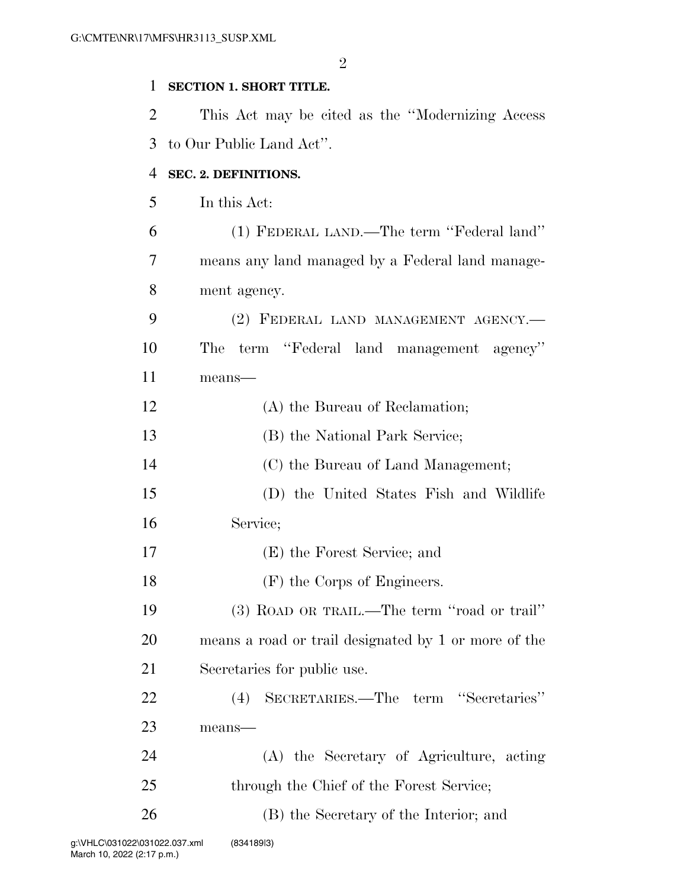# **SECTION 1. SHORT TITLE.**

 This Act may be cited as the ''Modernizing Access to Our Public Land Act''.

# **SEC. 2. DEFINITIONS.**

In this Act:

| 6              | (1) FEDERAL LAND.—The term "Federal land"            |
|----------------|------------------------------------------------------|
| $\overline{7}$ | means any land managed by a Federal land manage-     |
| 8              | ment agency.                                         |
| 9              | (2) FEDERAL LAND MANAGEMENT AGENCY.—                 |
| 10             | term "Federal land management agency"<br>The         |
| 11             | means-                                               |
| 12             | (A) the Bureau of Reclamation;                       |
| 13             | (B) the National Park Service;                       |
| 14             | (C) the Bureau of Land Management;                   |
| 15             | (D) the United States Fish and Wildlife              |
| 16             | Service;                                             |
| 17             | (E) the Forest Service; and                          |
| 18             | (F) the Corps of Engineers.                          |
| 19             | (3) ROAD OR TRAIL.—The term "road or trail"          |
| 20             | means a road or trail designated by 1 or more of the |
| 21             | Secretaries for public use.                          |
| 22             | SECRETARIES.—The term "Secretaries"<br>(4)           |
| 23             | means-                                               |
| 24             | (A) the Secretary of Agriculture, acting             |
| 25             | through the Chief of the Forest Service;             |
| 26             | (B) the Secretary of the Interior; and               |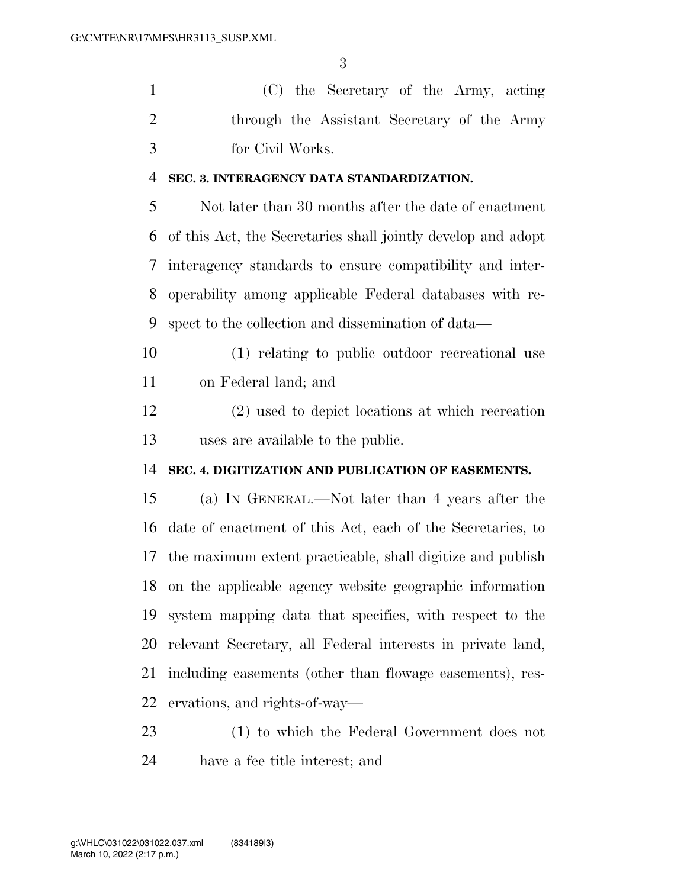(C) the Secretary of the Army, acting through the Assistant Secretary of the Army for Civil Works.

#### **SEC. 3. INTERAGENCY DATA STANDARDIZATION.**

 Not later than 30 months after the date of enactment of this Act, the Secretaries shall jointly develop and adopt interagency standards to ensure compatibility and inter- operability among applicable Federal databases with re-spect to the collection and dissemination of data—

 (1) relating to public outdoor recreational use on Federal land; and

 (2) used to depict locations at which recreation uses are available to the public.

### **SEC. 4. DIGITIZATION AND PUBLICATION OF EASEMENTS.**

 (a) IN GENERAL.—Not later than 4 years after the date of enactment of this Act, each of the Secretaries, to the maximum extent practicable, shall digitize and publish on the applicable agency website geographic information system mapping data that specifies, with respect to the relevant Secretary, all Federal interests in private land, including easements (other than flowage easements), res-ervations, and rights-of-way—

 (1) to which the Federal Government does not have a fee title interest; and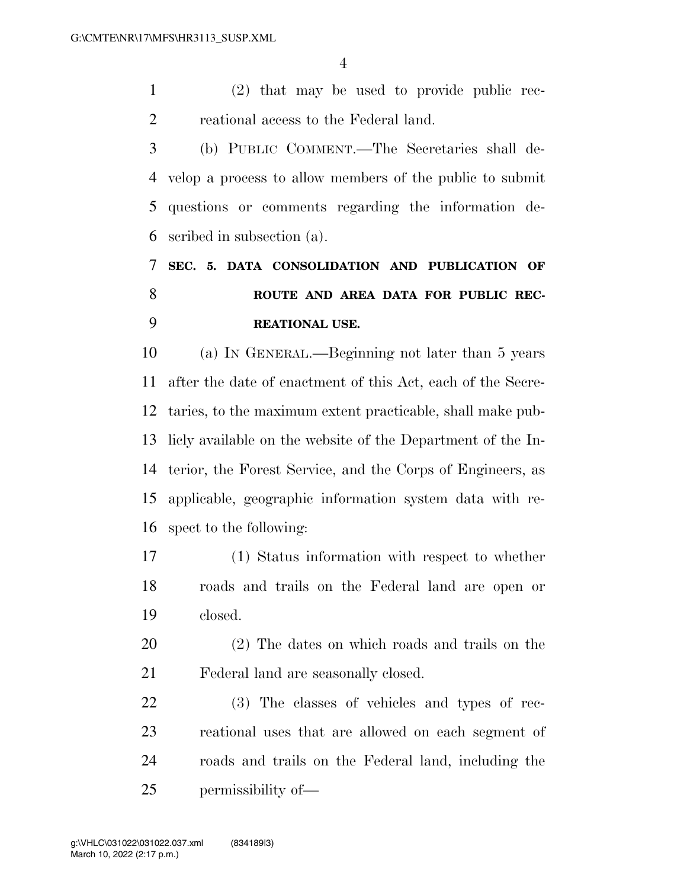(2) that may be used to provide public rec-reational access to the Federal land.

 (b) PUBLIC COMMENT.—The Secretaries shall de- velop a process to allow members of the public to submit questions or comments regarding the information de-scribed in subsection (a).

# **SEC. 5. DATA CONSOLIDATION AND PUBLICATION OF ROUTE AND AREA DATA FOR PUBLIC REC-REATIONAL USE.**

 (a) IN GENERAL.—Beginning not later than 5 years after the date of enactment of this Act, each of the Secre- taries, to the maximum extent practicable, shall make pub- licly available on the website of the Department of the In- terior, the Forest Service, and the Corps of Engineers, as applicable, geographic information system data with re-spect to the following:

 (1) Status information with respect to whether roads and trails on the Federal land are open or closed.

 (2) The dates on which roads and trails on the Federal land are seasonally closed.

 (3) The classes of vehicles and types of rec- reational uses that are allowed on each segment of roads and trails on the Federal land, including the permissibility of—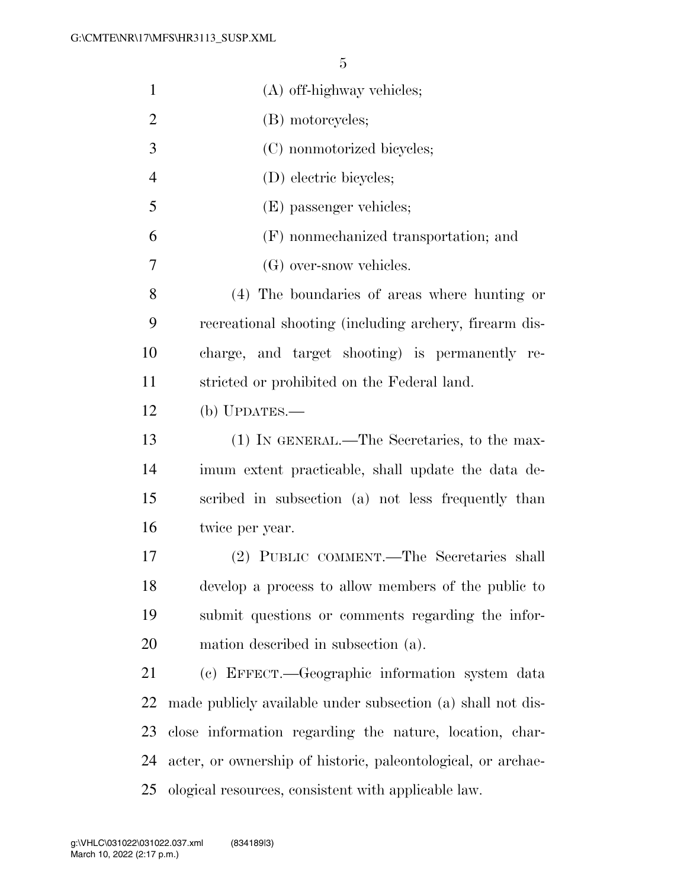| $\mathbf{1}$   | (A) off-highway vehicles;                                    |
|----------------|--------------------------------------------------------------|
| $\overline{2}$ | (B) motorcycles;                                             |
| 3              | (C) nonmotorized bicycles;                                   |
| $\overline{4}$ | (D) electric bicycles;                                       |
| 5              | (E) passenger vehicles;                                      |
| 6              | (F) nonmechanized transportation; and                        |
| 7              | (G) over-snow vehicles.                                      |
| 8              | (4) The boundaries of areas where hunting or                 |
| 9              | recreational shooting (including archery, firearm dis-       |
| 10             | charge, and target shooting) is permanently re-              |
| 11             | stricted or prohibited on the Federal land.                  |
| 12             | (b) $UPDATES$ .                                              |
| 13             | (1) IN GENERAL.—The Secretaries, to the max-                 |
| 14             | imum extent practicable, shall update the data de-           |
| 15             | scribed in subsection (a) not less frequently than           |
| 16             | twice per year.                                              |
| 17             | (2) PUBLIC COMMENT.—The Secretaries shall                    |
| 18             | develop a process to allow members of the public to          |
| 19             | submit questions or comments regarding the infor-            |
| 20             | mation described in subsection (a).                          |
| 21             | (c) EFFECT.—Geographic information system data               |
| 22             | made publicly available under subsection (a) shall not dis-  |
| 23             | close information regarding the nature, location, char-      |
| 24             | acter, or ownership of historic, paleontological, or archae- |
| 25             | ological resources, consistent with applicable law.          |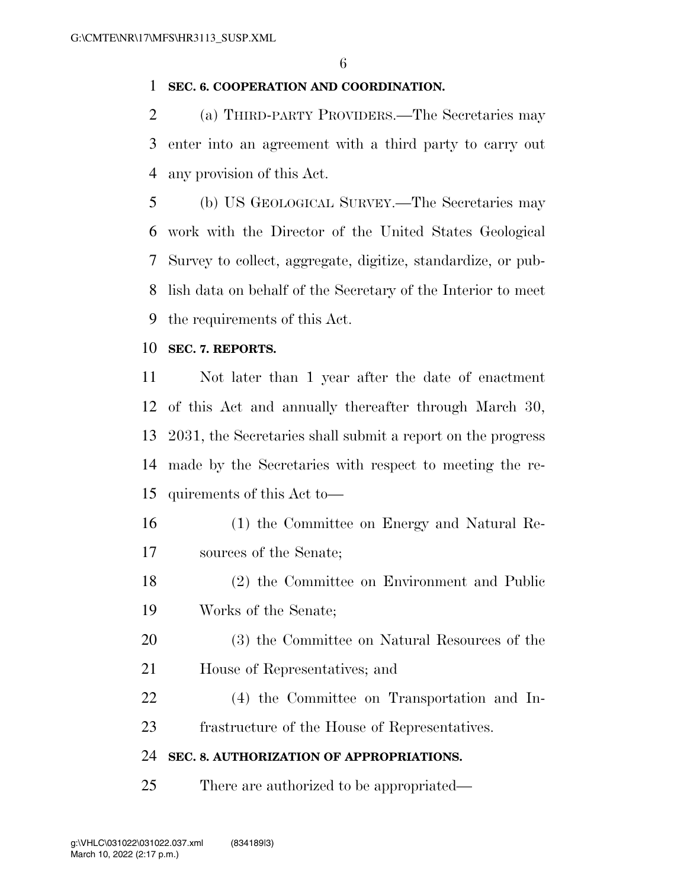# **SEC. 6. COOPERATION AND COORDINATION.**

 (a) THIRD-PARTY PROVIDERS.—The Secretaries may enter into an agreement with a third party to carry out any provision of this Act.

 (b) US GEOLOGICAL SURVEY.—The Secretaries may work with the Director of the United States Geological Survey to collect, aggregate, digitize, standardize, or pub- lish data on behalf of the Secretary of the Interior to meet the requirements of this Act.

# **SEC. 7. REPORTS.**

 Not later than 1 year after the date of enactment of this Act and annually thereafter through March 30, 2031, the Secretaries shall submit a report on the progress made by the Secretaries with respect to meeting the re-quirements of this Act to—

- (1) the Committee on Energy and Natural Re-sources of the Senate;
- (2) the Committee on Environment and Public Works of the Senate;
- (3) the Committee on Natural Resources of the
- House of Representatives; and
- (4) the Committee on Transportation and In-frastructure of the House of Representatives.

# **SEC. 8. AUTHORIZATION OF APPROPRIATIONS.**

There are authorized to be appropriated—